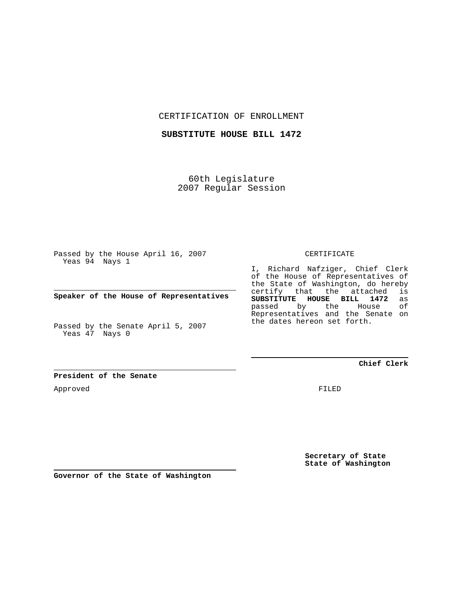CERTIFICATION OF ENROLLMENT

**SUBSTITUTE HOUSE BILL 1472**

60th Legislature 2007 Regular Session

Passed by the House April 16, 2007 Yeas 94 Nays 1

**Speaker of the House of Representatives**

Passed by the Senate April 5, 2007 Yeas 47 Nays 0

CERTIFICATE

I, Richard Nafziger, Chief Clerk of the House of Representatives of the State of Washington, do hereby certify that the attached is **SUBSTITUTE HOUSE BILL 1472** as passed by the House Representatives and the Senate on the dates hereon set forth.

**Chief Clerk**

**President of the Senate**

Approved

FILED

**Secretary of State State of Washington**

**Governor of the State of Washington**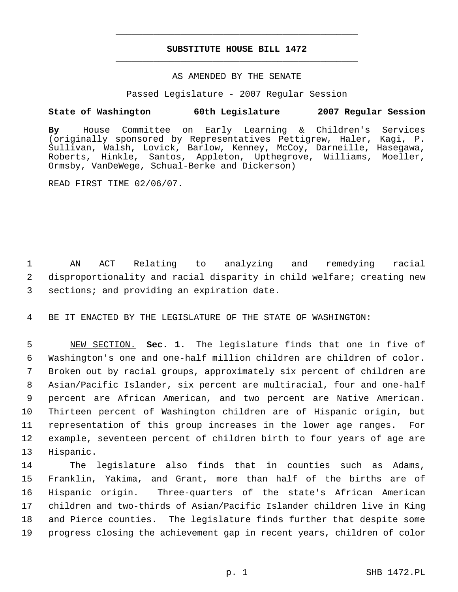## **SUBSTITUTE HOUSE BILL 1472** \_\_\_\_\_\_\_\_\_\_\_\_\_\_\_\_\_\_\_\_\_\_\_\_\_\_\_\_\_\_\_\_\_\_\_\_\_\_\_\_\_\_\_\_\_

\_\_\_\_\_\_\_\_\_\_\_\_\_\_\_\_\_\_\_\_\_\_\_\_\_\_\_\_\_\_\_\_\_\_\_\_\_\_\_\_\_\_\_\_\_

## AS AMENDED BY THE SENATE

Passed Legislature - 2007 Regular Session

## **State of Washington 60th Legislature 2007 Regular Session**

**By** House Committee on Early Learning & Children's Services (originally sponsored by Representatives Pettigrew, Haler, Kagi, P. Sullivan, Walsh, Lovick, Barlow, Kenney, McCoy, Darneille, Hasegawa, Roberts, Hinkle, Santos, Appleton, Upthegrove, Williams, Moeller, Ormsby, VanDeWege, Schual-Berke and Dickerson)

READ FIRST TIME 02/06/07.

 1 AN ACT Relating to analyzing and remedying racial 2 disproportionality and racial disparity in child welfare; creating new 3 sections; and providing an expiration date.

4 BE IT ENACTED BY THE LEGISLATURE OF THE STATE OF WASHINGTON:

 NEW SECTION. **Sec. 1.** The legislature finds that one in five of Washington's one and one-half million children are children of color. Broken out by racial groups, approximately six percent of children are Asian/Pacific Islander, six percent are multiracial, four and one-half percent are African American, and two percent are Native American. Thirteen percent of Washington children are of Hispanic origin, but representation of this group increases in the lower age ranges. For example, seventeen percent of children birth to four years of age are Hispanic.

 The legislature also finds that in counties such as Adams, Franklin, Yakima, and Grant, more than half of the births are of Hispanic origin. Three-quarters of the state's African American children and two-thirds of Asian/Pacific Islander children live in King and Pierce counties. The legislature finds further that despite some progress closing the achievement gap in recent years, children of color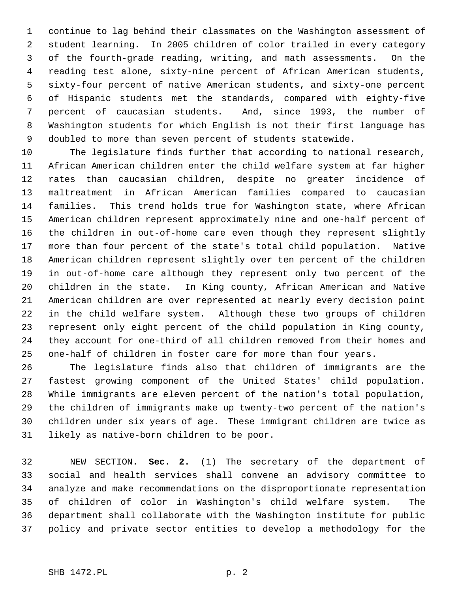continue to lag behind their classmates on the Washington assessment of student learning. In 2005 children of color trailed in every category of the fourth-grade reading, writing, and math assessments. On the reading test alone, sixty-nine percent of African American students, sixty-four percent of native American students, and sixty-one percent of Hispanic students met the standards, compared with eighty-five percent of caucasian students. And, since 1993, the number of Washington students for which English is not their first language has doubled to more than seven percent of students statewide.

 The legislature finds further that according to national research, African American children enter the child welfare system at far higher rates than caucasian children, despite no greater incidence of maltreatment in African American families compared to caucasian families. This trend holds true for Washington state, where African American children represent approximately nine and one-half percent of the children in out-of-home care even though they represent slightly more than four percent of the state's total child population. Native American children represent slightly over ten percent of the children in out-of-home care although they represent only two percent of the children in the state. In King county, African American and Native American children are over represented at nearly every decision point in the child welfare system. Although these two groups of children represent only eight percent of the child population in King county, they account for one-third of all children removed from their homes and one-half of children in foster care for more than four years.

 The legislature finds also that children of immigrants are the fastest growing component of the United States' child population. While immigrants are eleven percent of the nation's total population, the children of immigrants make up twenty-two percent of the nation's children under six years of age. These immigrant children are twice as likely as native-born children to be poor.

 NEW SECTION. **Sec. 2.** (1) The secretary of the department of social and health services shall convene an advisory committee to analyze and make recommendations on the disproportionate representation of children of color in Washington's child welfare system. The department shall collaborate with the Washington institute for public policy and private sector entities to develop a methodology for the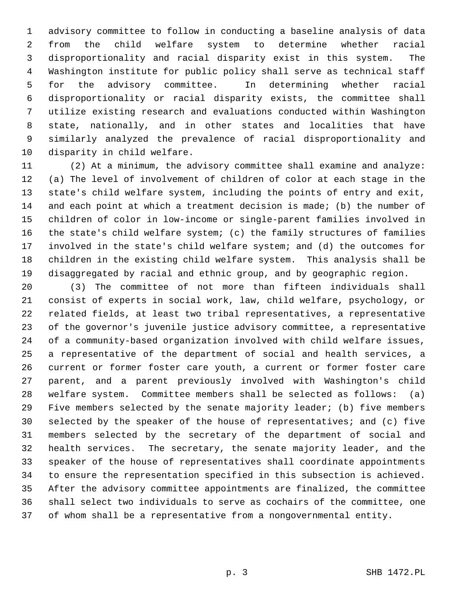advisory committee to follow in conducting a baseline analysis of data from the child welfare system to determine whether racial disproportionality and racial disparity exist in this system. The Washington institute for public policy shall serve as technical staff for the advisory committee. In determining whether racial disproportionality or racial disparity exists, the committee shall utilize existing research and evaluations conducted within Washington state, nationally, and in other states and localities that have similarly analyzed the prevalence of racial disproportionality and disparity in child welfare.

 (2) At a minimum, the advisory committee shall examine and analyze: (a) The level of involvement of children of color at each stage in the state's child welfare system, including the points of entry and exit, and each point at which a treatment decision is made; (b) the number of children of color in low-income or single-parent families involved in the state's child welfare system; (c) the family structures of families involved in the state's child welfare system; and (d) the outcomes for children in the existing child welfare system. This analysis shall be disaggregated by racial and ethnic group, and by geographic region.

 (3) The committee of not more than fifteen individuals shall consist of experts in social work, law, child welfare, psychology, or related fields, at least two tribal representatives, a representative of the governor's juvenile justice advisory committee, a representative of a community-based organization involved with child welfare issues, a representative of the department of social and health services, a current or former foster care youth, a current or former foster care parent, and a parent previously involved with Washington's child welfare system. Committee members shall be selected as follows: (a) Five members selected by the senate majority leader; (b) five members selected by the speaker of the house of representatives; and (c) five members selected by the secretary of the department of social and health services. The secretary, the senate majority leader, and the speaker of the house of representatives shall coordinate appointments to ensure the representation specified in this subsection is achieved. After the advisory committee appointments are finalized, the committee shall select two individuals to serve as cochairs of the committee, one of whom shall be a representative from a nongovernmental entity.